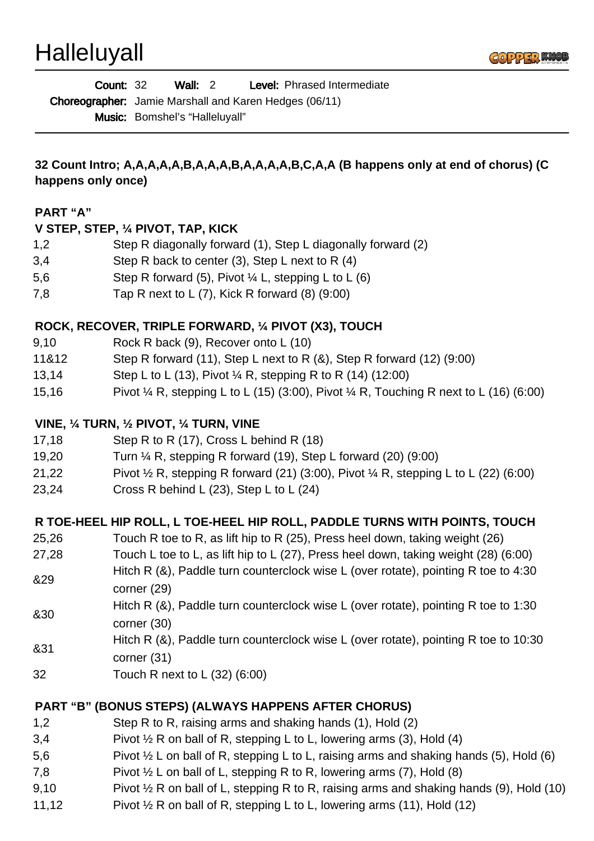**Halleluyall** 



| <b>Count: 32</b> |                                                               | Wall: $2$ |  | <b>Level:</b> Phrased Intermediate |
|------------------|---------------------------------------------------------------|-----------|--|------------------------------------|
|                  | <b>Choreographer:</b> Jamie Marshall and Karen Hedges (06/11) |           |  |                                    |
|                  | <b>Music:</b> Bomshel's "Halleluyall"                         |           |  |                                    |

**32 Count Intro; A,A,A,A,A,B,A,A,A,B,A,A,A,A,B,C,A,A (B happens only at end of chorus) (C happens only once)**

#### **PART "A"**

#### **V STEP, STEP, ¼ PIVOT, TAP, KICK**

- 1,2 Step R diagonally forward (1), Step L diagonally forward (2)
- 3,4 Step R back to center (3), Step L next to R (4)
- 5,6 Step R forward (5), Pivot ¼ L, stepping L to L (6)
- 7,8 Tap R next to L (7), Kick R forward (8) (9:00)

## **ROCK, RECOVER, TRIPLE FORWARD, ¼ PIVOT (X3), TOUCH**

- 9,10 Rock R back (9), Recover onto L (10)
- 11&12 Step R forward (11), Step L next to R (&), Step R forward (12) (9:00)
- 13,14 Step L to L (13), Pivot ¼ R, stepping R to R (14) (12:00)
- 15,16 Pivot ¼ R, stepping L to L (15) (3:00), Pivot ¼ R, Touching R next to L (16) (6:00)

## **VINE, ¼ TURN, ½ PIVOT, ¼ TURN, VINE**

- 17,18 Step R to R (17), Cross L behind R (18)
- 19,20 Turn ¼ R, stepping R forward (19), Step L forward (20) (9:00)
- 21,22 Pivot  $\frac{1}{2}$  R, stepping R forward (21) (3:00), Pivot  $\frac{1}{4}$  R, stepping L to L (22) (6:00)
- 23,24 Cross R behind L (23), Step L to L (24)

## **R TOE-HEEL HIP ROLL, L TOE-HEEL HIP ROLL, PADDLE TURNS WITH POINTS, TOUCH**

- 25,26 Touch R toe to R, as lift hip to R (25), Press heel down, taking weight (26)
- 27,28 Touch L toe to L, as lift hip to L (27), Press heel down, taking weight (28) (6:00)
- &29 Hitch R (&), Paddle turn counterclock wise L (over rotate), pointing R toe to 4:30 corner (29)
- &30 Hitch R (&), Paddle turn counterclock wise L (over rotate), pointing R toe to 1:30 corner (30)
- 
- &31 Hitch R (&), Paddle turn counterclock wise L (over rotate), pointing R toe to 10:30
- corner (31)
- 32 Touch R next to L (32) (6:00)

## **PART "B" (BONUS STEPS) (ALWAYS HAPPENS AFTER CHORUS)**

- 1,2 Step R to R, raising arms and shaking hands (1), Hold (2)
- 3,4 Pivot  $\frac{1}{2}$  R on ball of R, stepping L to L, lowering arms (3), Hold (4)
- 5,6 Pivot  $\frac{1}{2}$  L on ball of R, stepping L to L, raising arms and shaking hands (5), Hold (6)
- 7,8 Pivot  $\frac{1}{2}$  L on ball of L, stepping R to R, lowering arms (7), Hold (8)
- 9,10 Pivot  $\frac{1}{2}$  R on ball of L, stepping R to R, raising arms and shaking hands (9), Hold (10)
- 11,12 Pivot ½ R on ball of R, stepping L to L, lowering arms (11), Hold (12)